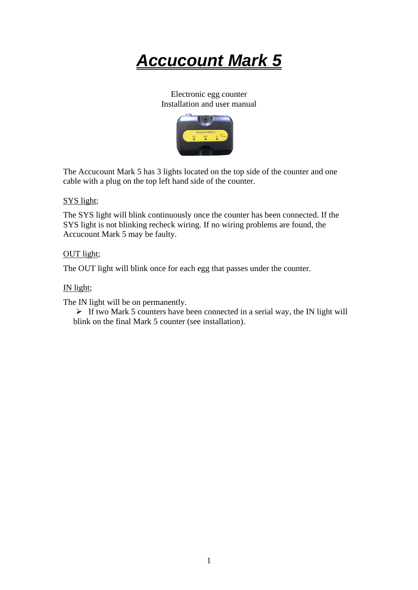*Accucount Mark 5*

Electronic egg counter Installation and user manual



The Accucount Mark 5 has 3 lights located on the top side of the counter and one cable with a plug on the top left hand side of the counter.

### SYS light;

The SYS light will blink continuously once the counter has been connected. If the SYS light is not blinking recheck wiring. If no wiring problems are found, the Accucount Mark 5 may be faulty.

#### OUT light;

The OUT light will blink once for each egg that passes under the counter.

## IN light;

The IN light will be on permanently.

➢ If two Mark 5 counters have been connected in a serial way, the IN light will blink on the final Mark 5 counter (see installation).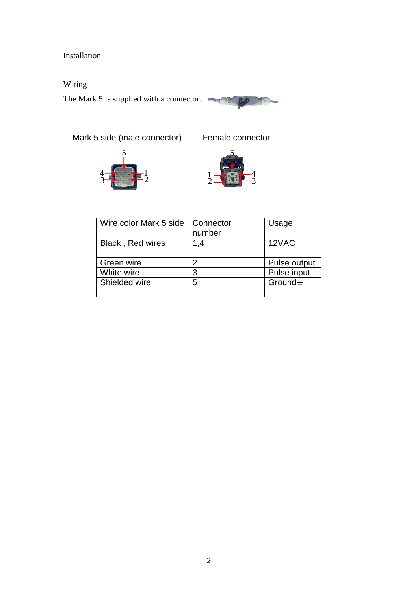## Installation

Wiring

The Mark 5 is supplied with a connector.



4 3

 $\epsilon$ 



| Wire color Mark 5 side | Connector<br>number | Usage        |
|------------------------|---------------------|--------------|
| Black, Red wires       | 1,4                 | 12VAC        |
| Green wire             | 2                   | Pulse output |
| White wire             | 3                   | Pulse input  |
| Shielded wire          | 5                   | Ground $\pm$ |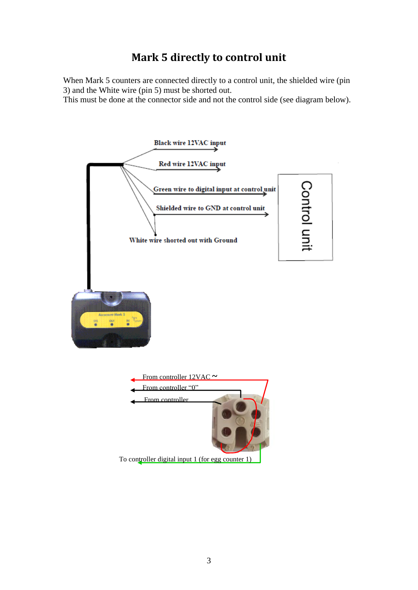## **Mark 5 directly to control unit**

When Mark 5 counters are connected directly to a control unit, the shielded wire (pin 3) and the White wire (pin 5) must be shorted out.

This must be done at the connector side and not the control side (see diagram below).

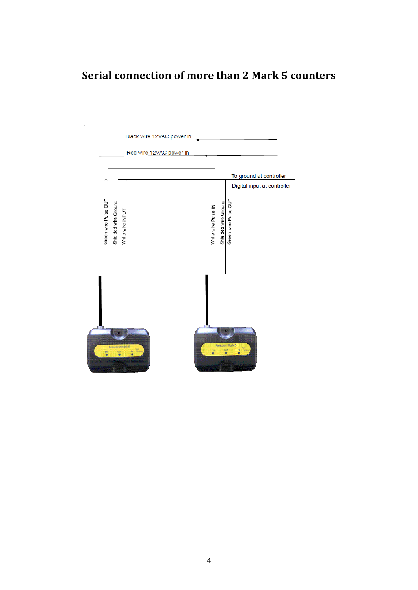# **Serial connection of more than 2 Mark 5 counters**